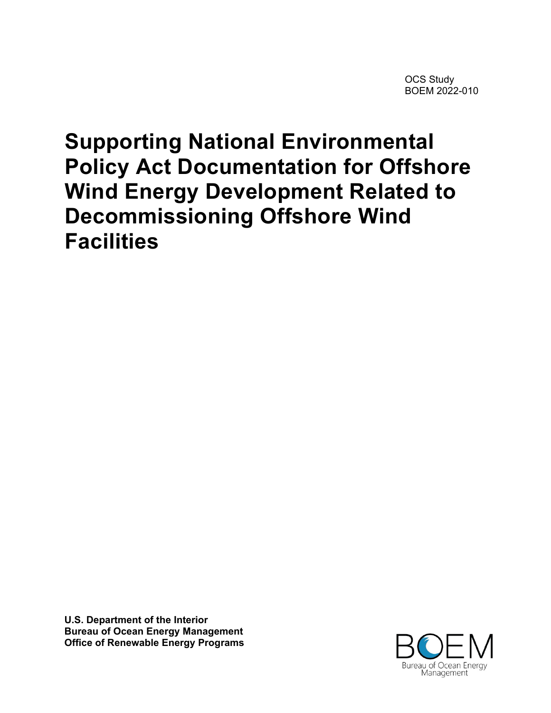OCS Study BOEM 2022-010

# **Supporting National Environmental Policy Act Documentation for Offshore Wind Energy Development Related to Decommissioning Offshore Wind Facilities**

**U.S. Department of the Interior Bureau of Ocean Energy Management Office of Renewable Energy Programs**

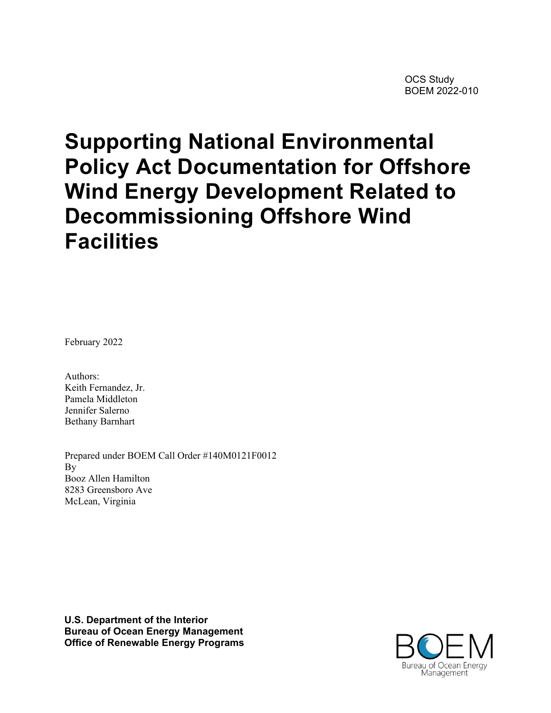OCS Study BOEM 2022-010

# **Supporting National Environmental Policy Act Documentation for Offshore Wind Energy Development Related to Decommissioning Offshore Wind Facilities**

February 2022

Authors: Keith Fernandez, Jr. Pamela Middleton Jennifer Salerno Bethany Barnhart

Prepared under BOEM Call Order #140M0121F0012 By Booz Allen Hamilton 8283 Greensboro Ave McLean, Virginia

**U.S. Department of the Interior Bureau of Ocean Energy Management Office of Renewable Energy Programs**

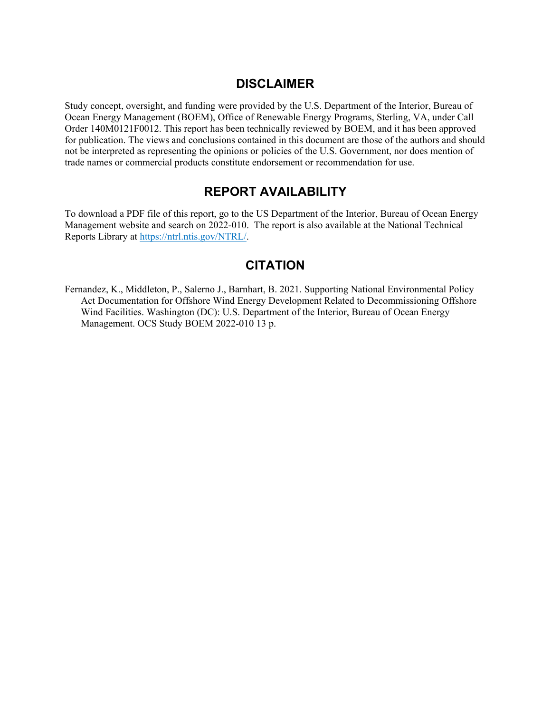#### **DISCLAIMER**

Study concept, oversight, and funding were provided by the U.S. Department of the Interior, Bureau of Ocean Energy Management (BOEM), Office of Renewable Energy Programs, Sterling, VA, under Call Order 140M0121F0012. This report has been technically reviewed by BOEM, and it has been approved for publication. The views and conclusions contained in this document are those of the authors and should not be interpreted as representing the opinions or policies of the U.S. Government, nor does mention of trade names or commercial products constitute endorsement or recommendation for use.

## **REPORT AVAILABILITY**

To download a PDF file of this report, go to the US Department of the Interior, Bureau of Ocean Energy Management website and search on 2022-010. The report is also available at the National Technical Reports Library at [https://ntrl.ntis.gov/NTRL/.](https://ntrl.ntis.gov/NTRL/)

## **CITATION**

Fernandez, K., Middleton, P., Salerno J., Barnhart, B. 2021. Supporting National Environmental Policy Act Documentation for Offshore Wind Energy Development Related to Decommissioning Offshore Wind Facilities. Washington (DC): U.S. Department of the Interior, Bureau of Ocean Energy Management. OCS Study BOEM 2022-010 13 p.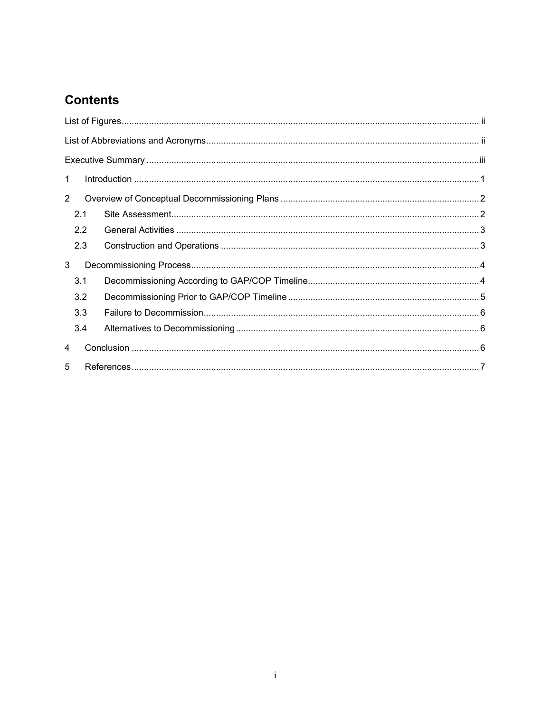# **Contents**

| $\mathbf 1$    |  |  |
|----------------|--|--|
| $\overline{2}$ |  |  |
| 2.1            |  |  |
| 2.2            |  |  |
| 2.3            |  |  |
| 3              |  |  |
| 3.1            |  |  |
| 3.2            |  |  |
| 3.3            |  |  |
| 3.4            |  |  |
| $\overline{4}$ |  |  |
| 5              |  |  |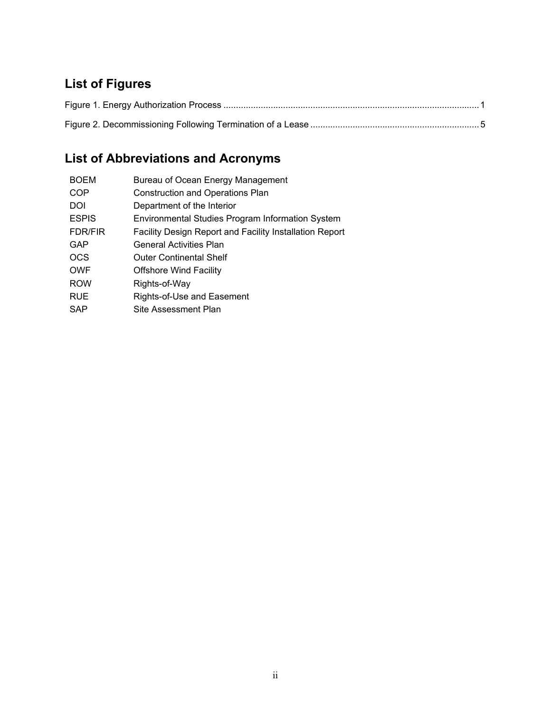# <span id="page-4-0"></span>**List of Figures**

# <span id="page-4-1"></span>**List of Abbreviations and Acronyms**

| Bureau of Ocean Energy Management                              |
|----------------------------------------------------------------|
| <b>Construction and Operations Plan</b>                        |
| Department of the Interior                                     |
| Environmental Studies Program Information System               |
| <b>Facility Design Report and Facility Installation Report</b> |
| <b>General Activities Plan</b>                                 |
| <b>Outer Continental Shelf</b>                                 |
| <b>Offshore Wind Facility</b>                                  |
| Rights-of-Way                                                  |
| Rights-of-Use and Easement                                     |
| Site Assessment Plan                                           |
|                                                                |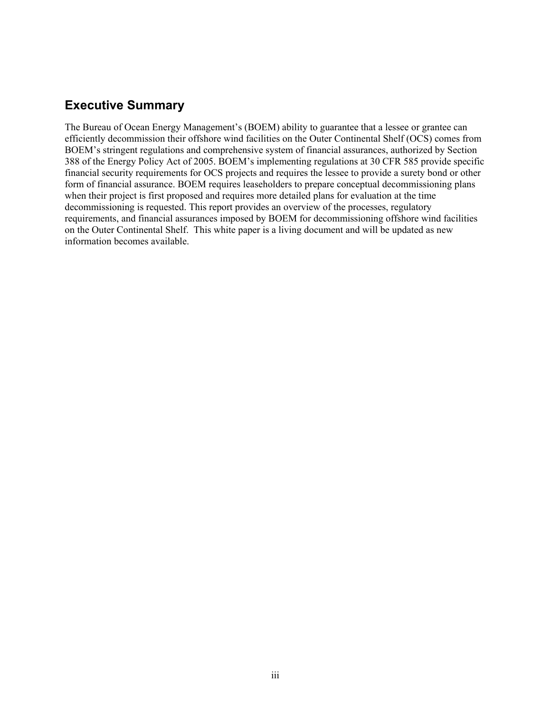## <span id="page-5-0"></span>**Executive Summary**

The Bureau of Ocean Energy Management's (BOEM) ability to guarantee that a lessee or grantee can efficiently decommission their offshore wind facilities on the Outer Continental Shelf (OCS) comes from BOEM's stringent regulations and comprehensive system of financial assurances, authorized by Section 388 of the Energy Policy Act of 2005. BOEM's implementing regulations at 30 CFR 585 provide specific financial security requirements for OCS projects and requires the lessee to provide a surety bond or other form of financial assurance. BOEM requires leaseholders to prepare conceptual decommissioning plans when their project is first proposed and requires more detailed plans for evaluation at the time decommissioning is requested. This report provides an overview of the processes, regulatory requirements, and financial assurances imposed by BOEM for decommissioning offshore wind facilities on the Outer Continental Shelf. This white paper is a living document and will be updated as new information becomes available.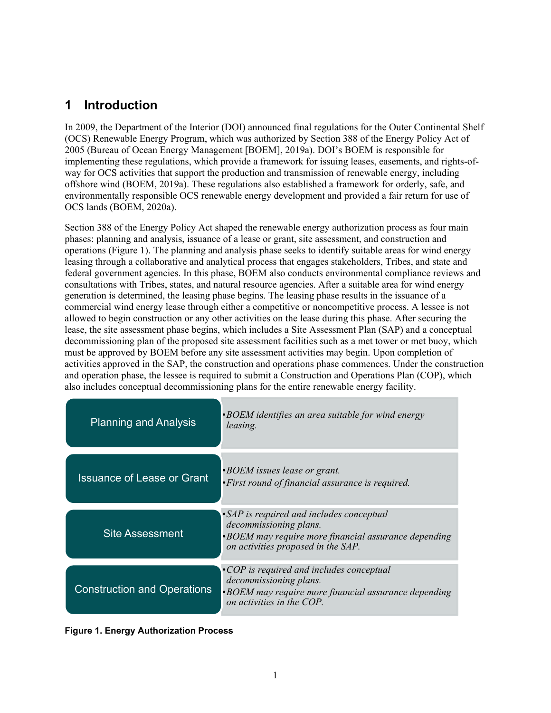# <span id="page-6-0"></span>**1 Introduction**

In 2009, the Department of the Interior (DOI) announced final regulations for the Outer Continental Shelf (OCS) Renewable Energy Program, which was authorized by Section 388 of the Energy Policy Act of 2005 (Bureau of Ocean Energy Management [BOEM], 2019a). DOI's BOEM is responsible for implementing these regulations, which provide a framework for issuing leases, easements, and rights-ofway for OCS activities that support the production and transmission of renewable energy, including offshore wind (BOEM, 2019a). These regulations also established a framework for orderly, safe, and environmentally responsible OCS renewable energy development and provided a fair return for use of OCS lands (BOEM, 2020a).

Section 388 of the Energy Policy Act shaped the renewable energy authorization process as four main phases: planning and analysis, issuance of a lease or grant, site assessment, and construction and operations [\(Figure 1\)](#page-6-1). The planning and analysis phase seeks to identify suitable areas for wind energy leasing through a collaborative and analytical process that engages stakeholders, Tribes, and state and federal government agencies. In this phase, BOEM also conducts environmental compliance reviews and consultations with Tribes, states, and natural resource agencies. After a suitable area for wind energy generation is determined, the leasing phase begins. The leasing phase results in the issuance of a commercial wind energy lease through either a competitive or noncompetitive process. A lessee is not allowed to begin construction or any other activities on the lease during this phase. After securing the lease, the site assessment phase begins, which includes a Site Assessment Plan (SAP) and a conceptual decommissioning plan of the proposed site assessment facilities such as a met tower or met buoy, which must be approved by BOEM before any site assessment activities may begin. Upon completion of activities approved in the SAP, the construction and operations phase commences. Under the construction and operation phase, the lessee is required to submit a Construction and Operations Plan (COP), which also includes conceptual decommissioning plans for the entire renewable energy facility.

| <b>Planning and Analysis</b>       | $\cdot$ BOEM identifies an area suitable for wind energy<br>leasing.                                                                                             |
|------------------------------------|------------------------------------------------------------------------------------------------------------------------------------------------------------------|
| <b>Issuance of Lease or Grant</b>  | <b>•BOEM</b> issues lease or grant.<br>• First round of financial assurance is required.                                                                         |
| <b>Site Assessment</b>             | •SAP is required and includes conceptual<br>decommissioning plans.<br>•BOEM may require more financial assurance depending<br>on activities proposed in the SAP. |
| <b>Construction and Operations</b> | $\cdot$ COP is required and includes conceptual<br>decommissioning plans.<br>•BOEM may require more financial assurance depending<br>on activities in the COP.   |

<span id="page-6-1"></span>**Figure 1. Energy Authorization Process**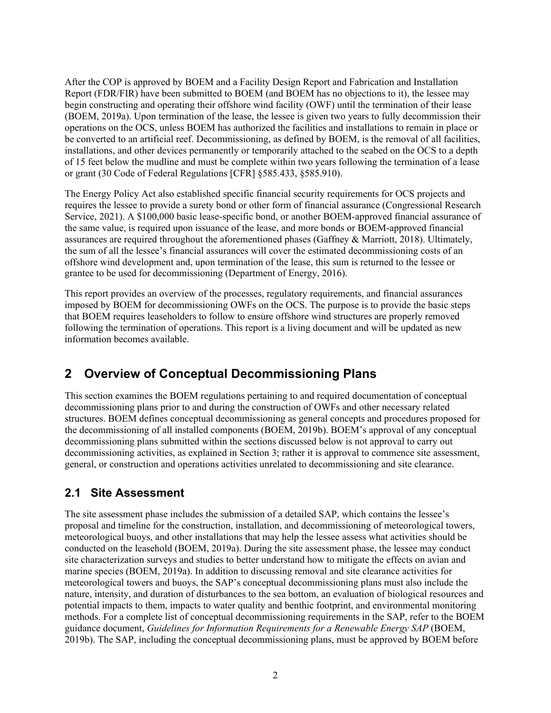After the COP is approved by BOEM and a Facility Design Report and Fabrication and Installation Report (FDR/FIR) have been submitted to BOEM (and BOEM has no objections to it), the lessee may begin constructing and operating their offshore wind facility (OWF) until the termination of their lease (BOEM, 2019a). Upon termination of the lease, the lessee is given two years to fully decommission their operations on the OCS, unless BOEM has authorized the facilities and installations to remain in place or be converted to an artificial reef. Decommissioning, as defined by BOEM, is the removal of all facilities, installations, and other devices permanently or temporarily attached to the seabed on the OCS to a depth of 15 feet below the mudline and must be complete within two years following the termination of a lease or grant (30 Code of Federal Regulations [CFR] §585.433, §585.910).

The Energy Policy Act also established specific financial security requirements for OCS projects and requires the lessee to provide a surety bond or other form of financial assurance (Congressional Research Service, 2021). A \$100,000 basic lease-specific bond, or another BOEM-approved financial assurance of the same value, is required upon issuance of the lease, and more bonds or BOEM-approved financial assurances are required throughout the aforementioned phases (Gaffney & Marriott, 2018). Ultimately, the sum of all the lessee's financial assurances will cover the estimated decommissioning costs of an offshore wind development and, upon termination of the lease, this sum is returned to the lessee or grantee to be used for decommissioning (Department of Energy, 2016).

This report provides an overview of the processes, regulatory requirements, and financial assurances imposed by BOEM for decommissioning OWFs on the OCS. The purpose is to provide the basic steps that BOEM requires leaseholders to follow to ensure offshore wind structures are properly removed following the termination of operations. This report is a living document and will be updated as new information becomes available.

# <span id="page-7-0"></span>**2 Overview of Conceptual Decommissioning Plans**

This section examines the BOEM regulations pertaining to and required documentation of conceptual decommissioning plans prior to and during the construction of OWFs and other necessary related structures. BOEM defines conceptual decommissioning as general concepts and procedures proposed for the decommissioning of all installed components (BOEM, 2019b). BOEM's approval of any conceptual decommissioning plans submitted within the sections discussed below is not approval to carry out decommissioning activities, as explained in Section 3; rather it is approval to commence site assessment, general, or construction and operations activities unrelated to decommissioning and site clearance.

#### <span id="page-7-1"></span>**2.1 Site Assessment**

The site assessment phase includes the submission of a detailed SAP, which contains the lessee's proposal and timeline for the construction, installation, and decommissioning of meteorological towers, meteorological buoys, and other installations that may help the lessee assess what activities should be conducted on the leasehold (BOEM, 2019a). During the site assessment phase, the lessee may conduct site characterization surveys and studies to better understand how to mitigate the effects on avian and marine species (BOEM, 2019a). In addition to discussing removal and site clearance activities for meteorological towers and buoys, the SAP's conceptual decommissioning plans must also include the nature, intensity, and duration of disturbances to the sea bottom, an evaluation of biological resources and potential impacts to them, impacts to water quality and benthic footprint, and environmental monitoring methods. For a complete list of conceptual decommissioning requirements in the SAP, refer to the BOEM guidance document, *Guidelines for Information Requirements for a Renewable Energy SAP* (BOEM, 2019b). The SAP, including the conceptual decommissioning plans, must be approved by BOEM before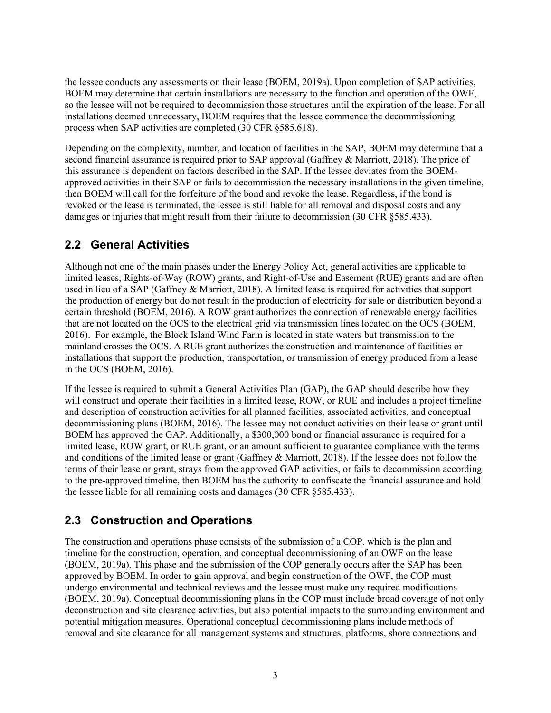the lessee conducts any assessments on their lease (BOEM, 2019a). Upon completion of SAP activities, BOEM may determine that certain installations are necessary to the function and operation of the OWF, so the lessee will not be required to decommission those structures until the expiration of the lease. For all installations deemed unnecessary, BOEM requires that the lessee commence the decommissioning process when SAP activities are completed (30 CFR §585.618).

Depending on the complexity, number, and location of facilities in the SAP, BOEM may determine that a second financial assurance is required prior to SAP approval (Gaffney & Marriott, 2018). The price of this assurance is dependent on factors described in the SAP. If the lessee deviates from the BOEMapproved activities in their SAP or fails to decommission the necessary installations in the given timeline, then BOEM will call for the forfeiture of the bond and revoke the lease. Regardless, if the bond is revoked or the lease is terminated, the lessee is still liable for all removal and disposal costs and any damages or injuries that might result from their failure to decommission (30 CFR §585.433).

## <span id="page-8-0"></span>**2.2 General Activities**

Although not one of the main phases under the Energy Policy Act, general activities are applicable to limited leases, Rights-of-Way (ROW) grants, and Right-of-Use and Easement (RUE) grants and are often used in lieu of a SAP (Gaffney & Marriott, 2018). A limited lease is required for activities that support the production of energy but do not result in the production of electricity for sale or distribution beyond a certain threshold (BOEM, 2016). A ROW grant authorizes the connection of renewable energy facilities that are not located on the OCS to the electrical grid via transmission lines located on the OCS (BOEM, 2016). For example, the Block Island Wind Farm is located in state waters but transmission to the mainland crosses the OCS. A RUE grant authorizes the construction and maintenance of facilities or installations that support the production, transportation, or transmission of energy produced from a lease in the OCS (BOEM, 2016).

If the lessee is required to submit a General Activities Plan (GAP), the GAP should describe how they will construct and operate their facilities in a limited lease, ROW, or RUE and includes a project timeline and description of construction activities for all planned facilities, associated activities, and conceptual decommissioning plans (BOEM, 2016). The lessee may not conduct activities on their lease or grant until BOEM has approved the GAP. Additionally, a \$300,000 bond or financial assurance is required for a limited lease, ROW grant, or RUE grant, or an amount sufficient to guarantee compliance with the terms and conditions of the limited lease or grant (Gaffney & Marriott, 2018). If the lessee does not follow the terms of their lease or grant, strays from the approved GAP activities, or fails to decommission according to the pre-approved timeline, then BOEM has the authority to confiscate the financial assurance and hold the lessee liable for all remaining costs and damages (30 CFR §585.433).

# <span id="page-8-1"></span>**2.3 Construction and Operations**

The construction and operations phase consists of the submission of a COP, which is the plan and timeline for the construction, operation, and conceptual decommissioning of an OWF on the lease (BOEM, 2019a). This phase and the submission of the COP generally occurs after the SAP has been approved by BOEM. In order to gain approval and begin construction of the OWF, the COP must undergo environmental and technical reviews and the lessee must make any required modifications (BOEM, 2019a). Conceptual decommissioning plans in the COP must include broad coverage of not only deconstruction and site clearance activities, but also potential impacts to the surrounding environment and potential mitigation measures. Operational conceptual decommissioning plans include methods of removal and site clearance for all management systems and structures, platforms, shore connections and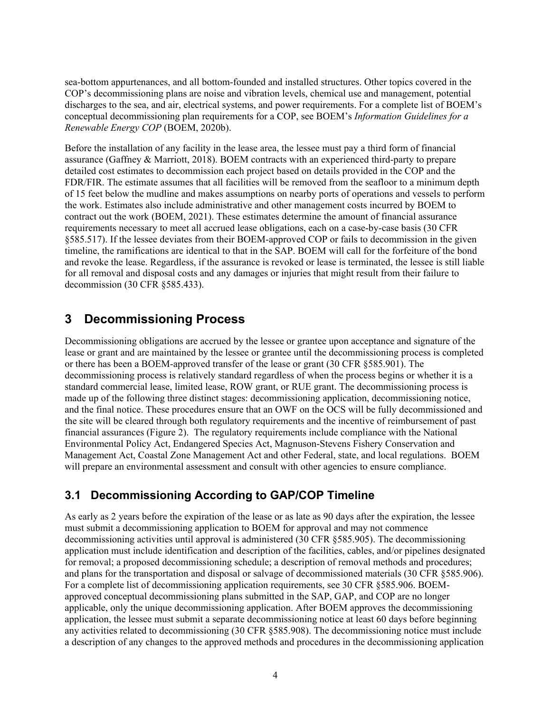sea-bottom appurtenances, and all bottom-founded and installed structures. Other topics covered in the COP's decommissioning plans are noise and vibration levels, chemical use and management, potential discharges to the sea, and air, electrical systems, and power requirements. For a complete list of BOEM's conceptual decommissioning plan requirements for a COP, see BOEM's *Information Guidelines for a Renewable Energy COP* (BOEM, 2020b).

Before the installation of any facility in the lease area, the lessee must pay a third form of financial assurance (Gaffney & Marriott, 2018). BOEM contracts with an experienced third-party to prepare detailed cost estimates to decommission each project based on details provided in the COP and the FDR/FIR. The estimate assumes that all facilities will be removed from the seafloor to a minimum depth of 15 feet below the mudline and makes assumptions on nearby ports of operations and vessels to perform the work. Estimates also include administrative and other management costs incurred by BOEM to contract out the work (BOEM, 2021). These estimates determine the amount of financial assurance requirements necessary to meet all accrued lease obligations, each on a case-by-case basis (30 CFR §585.517). If the lessee deviates from their BOEM-approved COP or fails to decommission in the given timeline, the ramifications are identical to that in the SAP. BOEM will call for the forfeiture of the bond and revoke the lease. Regardless, if the assurance is revoked or lease is terminated, the lessee is still liable for all removal and disposal costs and any damages or injuries that might result from their failure to decommission (30 CFR §585.433).

# <span id="page-9-0"></span>**3 Decommissioning Process**

Decommissioning obligations are accrued by the lessee or grantee upon acceptance and signature of the lease or grant and are maintained by the lessee or grantee until the decommissioning process is completed or there has been a BOEM-approved transfer of the lease or grant (30 CFR §585.901). The decommissioning process is relatively standard regardless of when the process begins or whether it is a standard commercial lease, limited lease, ROW grant, or RUE grant. The decommissioning process is made up of the following three distinct stages: decommissioning application, decommissioning notice, and the final notice. These procedures ensure that an OWF on the OCS will be fully decommissioned and the site will be cleared through both regulatory requirements and the incentive of reimbursement of past financial assurances (Figure 2). The regulatory requirements include compliance with the National Environmental Policy Act, Endangered Species Act, Magnuson-Stevens Fishery Conservation and Management Act, Coastal Zone Management Act and other Federal, state, and local regulations. BOEM will prepare an environmental assessment and consult with other agencies to ensure compliance.

#### <span id="page-9-1"></span>**3.1 Decommissioning According to GAP/COP Timeline**

As early as 2 years before the expiration of the lease or as late as 90 days after the expiration, the lessee must submit a decommissioning application to BOEM for approval and may not commence decommissioning activities until approval is administered (30 CFR §585.905). The decommissioning application must include identification and description of the facilities, cables, and/or pipelines designated for removal; a proposed decommissioning schedule; a description of removal methods and procedures; and plans for the transportation and disposal or salvage of decommissioned materials (30 CFR §585.906). For a complete list of decommissioning application requirements, see 30 CFR §585.906. BOEMapproved conceptual decommissioning plans submitted in the SAP, GAP, and COP are no longer applicable, only the unique decommissioning application. After BOEM approves the decommissioning application, the lessee must submit a separate decommissioning notice at least 60 days before beginning any activities related to decommissioning (30 CFR §585.908). The decommissioning notice must include a description of any changes to the approved methods and procedures in the decommissioning application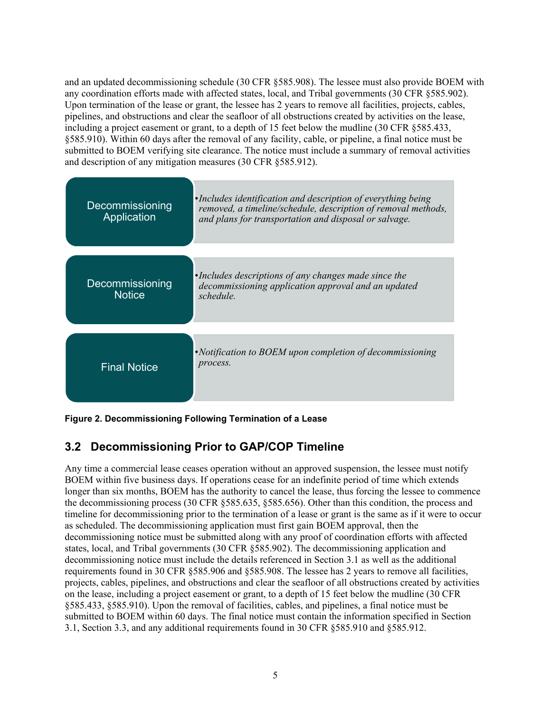and an updated decommissioning schedule (30 CFR §585.908). The lessee must also provide BOEM with any coordination efforts made with affected states, local, and Tribal governments (30 CFR §585.902). Upon termination of the lease or grant, the lessee has 2 years to remove all facilities, projects, cables, pipelines, and obstructions and clear the seafloor of all obstructions created by activities on the lease, including a project easement or grant, to a depth of 15 feet below the mudline (30 CFR §585.433, §585.910). Within 60 days after the removal of any facility, cable, or pipeline, a final notice must be submitted to BOEM verifying site clearance. The notice must include a summary of removal activities and description of any mitigation measures (30 CFR §585.912).

| Decommissioning<br>Application   | •Includes identification and description of everything being<br>removed, a timeline/schedule, description of removal methods,<br>and plans for transportation and disposal or salvage. |
|----------------------------------|----------------------------------------------------------------------------------------------------------------------------------------------------------------------------------------|
| Decommissioning<br><b>Notice</b> | •Includes descriptions of any changes made since the<br>decommissioning application approval and an updated<br>schedule.                                                               |
| <b>Final Notice</b>              | • Notification to BOEM upon completion of decommissioning<br>process.                                                                                                                  |

<span id="page-10-0"></span>**Figure 2. Decommissioning Following Termination of a Lease**

# **3.2 Decommissioning Prior to GAP/COP Timeline**

Any time a commercial lease ceases operation without an approved suspension, the lessee must notify BOEM within five business days. If operations cease for an indefinite period of time which extends longer than six months, BOEM has the authority to cancel the lease, thus forcing the lessee to commence the decommissioning process (30 CFR §585.635, §585.656). Other than this condition, the process and timeline for decommissioning prior to the termination of a lease or grant is the same as if it were to occur as scheduled. The decommissioning application must first gain BOEM approval, then the decommissioning notice must be submitted along with any proof of coordination efforts with affected states, local, and Tribal governments (30 CFR §585.902). The decommissioning application and decommissioning notice must include the details referenced in Section 3.1 as well as the additional requirements found in 30 CFR §585.906 and §585.908. The lessee has 2 years to remove all facilities, projects, cables, pipelines, and obstructions and clear the seafloor of all obstructions created by activities on the lease, including a project easement or grant, to a depth of 15 feet below the mudline (30 CFR §585.433, §585.910). Upon the removal of facilities, cables, and pipelines, a final notice must be submitted to BOEM within 60 days. The final notice must contain the information specified in Section 3.1, Section 3.3, and any additional requirements found in 30 CFR §585.910 and §585.912.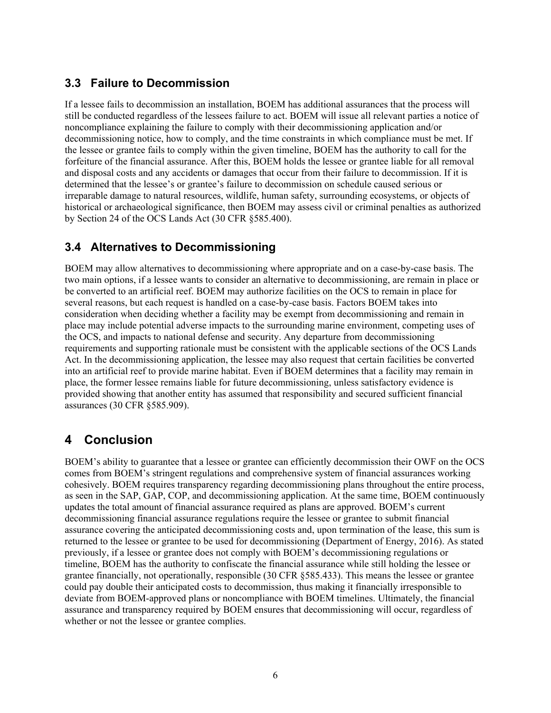#### <span id="page-11-0"></span>**3.3 Failure to Decommission**

If a lessee fails to decommission an installation, BOEM has additional assurances that the process will still be conducted regardless of the lessees failure to act. BOEM will issue all relevant parties a notice of noncompliance explaining the failure to comply with their decommissioning application and/or decommissioning notice, how to comply, and the time constraints in which compliance must be met. If the lessee or grantee fails to comply within the given timeline, BOEM has the authority to call for the forfeiture of the financial assurance. After this, BOEM holds the lessee or grantee liable for all removal and disposal costs and any accidents or damages that occur from their failure to decommission. If it is determined that the lessee's or grantee's failure to decommission on schedule caused serious or irreparable damage to natural resources, wildlife, human safety, surrounding ecosystems, or objects of historical or archaeological significance, then BOEM may assess civil or criminal penalties as authorized by Section 24 of the OCS Lands Act (30 CFR §585.400).

#### <span id="page-11-1"></span>**3.4 Alternatives to Decommissioning**

BOEM may allow alternatives to decommissioning where appropriate and on a case-by-case basis. The two main options, if a lessee wants to consider an alternative to decommissioning, are remain in place or be converted to an artificial reef. BOEM may authorize facilities on the OCS to remain in place for several reasons, but each request is handled on a case-by-case basis. Factors BOEM takes into consideration when deciding whether a facility may be exempt from decommissioning and remain in place may include potential adverse impacts to the surrounding marine environment, competing uses of the OCS, and impacts to national defense and security. Any departure from decommissioning requirements and supporting rationale must be consistent with the applicable sections of the OCS Lands Act. In the decommissioning application, the lessee may also request that certain facilities be converted into an artificial reef to provide marine habitat. Even if BOEM determines that a facility may remain in place, the former lessee remains liable for future decommissioning, unless satisfactory evidence is provided showing that another entity has assumed that responsibility and secured sufficient financial assurances (30 CFR §585.909).

# <span id="page-11-2"></span>**4 Conclusion**

BOEM's ability to guarantee that a lessee or grantee can efficiently decommission their OWF on the OCS comes from BOEM's stringent regulations and comprehensive system of financial assurances working cohesively. BOEM requires transparency regarding decommissioning plans throughout the entire process, as seen in the SAP, GAP, COP, and decommissioning application. At the same time, BOEM continuously updates the total amount of financial assurance required as plans are approved. BOEM's current decommissioning financial assurance regulations require the lessee or grantee to submit financial assurance covering the anticipated decommissioning costs and, upon termination of the lease, this sum is returned to the lessee or grantee to be used for decommissioning (Department of Energy, 2016). As stated previously, if a lessee or grantee does not comply with BOEM's decommissioning regulations or timeline, BOEM has the authority to confiscate the financial assurance while still holding the lessee or grantee financially, not operationally, responsible (30 CFR §585.433). This means the lessee or grantee could pay double their anticipated costs to decommission, thus making it financially irresponsible to deviate from BOEM-approved plans or noncompliance with BOEM timelines. Ultimately, the financial assurance and transparency required by BOEM ensures that decommissioning will occur, regardless of whether or not the lessee or grantee complies.